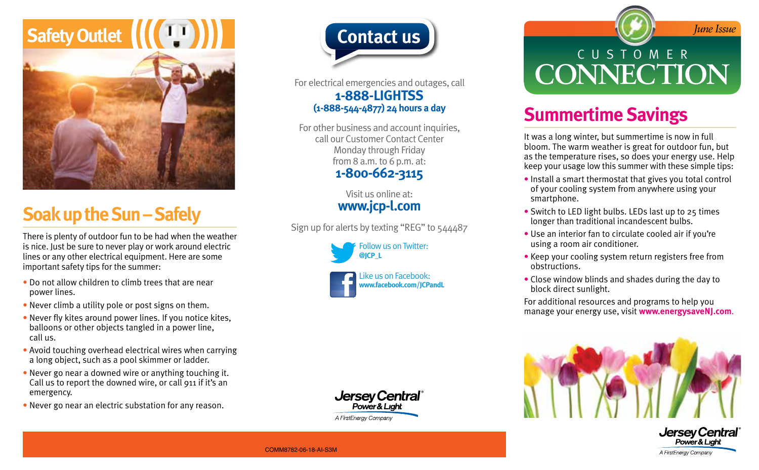

# **Soak up the Sun – Safely**

There is plenty of outdoor fun to be had when the weather is nice. Just be sure to never play or work around electric lines or any other electrical equipment. Here are some important safety tips for the summer:

- Do not allow children to climb trees that are near power lines.
- Never climb a utility pole or post signs on them.
- Never fly kites around power lines. If you notice kites, balloons or other objects tangled in a power line, call us.
- Avoid touching overhead electrical wires when carrying a long object, such as a pool skimmer or ladder.
- Never go near a downed wire or anything touching it. Call us to report the downed wire, or call 911 if it's an emergency.
- Never go near an electric substation for any reason.



For electrical emergencies and outages, call **1-888-LIGHTSS (1-888-544-4877) 24 hours a day**

For other business and account inquiries, call our Customer Contact Center Monday through Friday from 8 a.m. to 6 p.m. at: **1-800-662-3115**

> Visit us online at: **www.jcp-l.com**

Sign up for alerts by texting "REG" to 544487







# **Contact us** *Contact us* CUSTOMER **CONNECTION**

### **Summertime Savings**

It was a long winter, but summertime is now in full bloom. The warm weather is great for outdoor fun, but as the temperature rises, so does your energy use. Help keep your usage low this summer with these simple tips:

- Install a smart thermostat that gives you total control of your cooling system from anywhere using your smartphone.
- Switch to LED light bulbs. LEDs last up to 25 times longer than traditional incandescent bulbs.
- Use an interior fan to circulate cooled air if you're using a room air conditioner.
- Keep your cooling system return registers free from obstructions.
- Close window blinds and shades during the day to block direct sunlight.

For additional resources and programs to help you manage your energy use, visit **www.energysaveNJ.com**.





COMM8782-06-18-AI-S3M